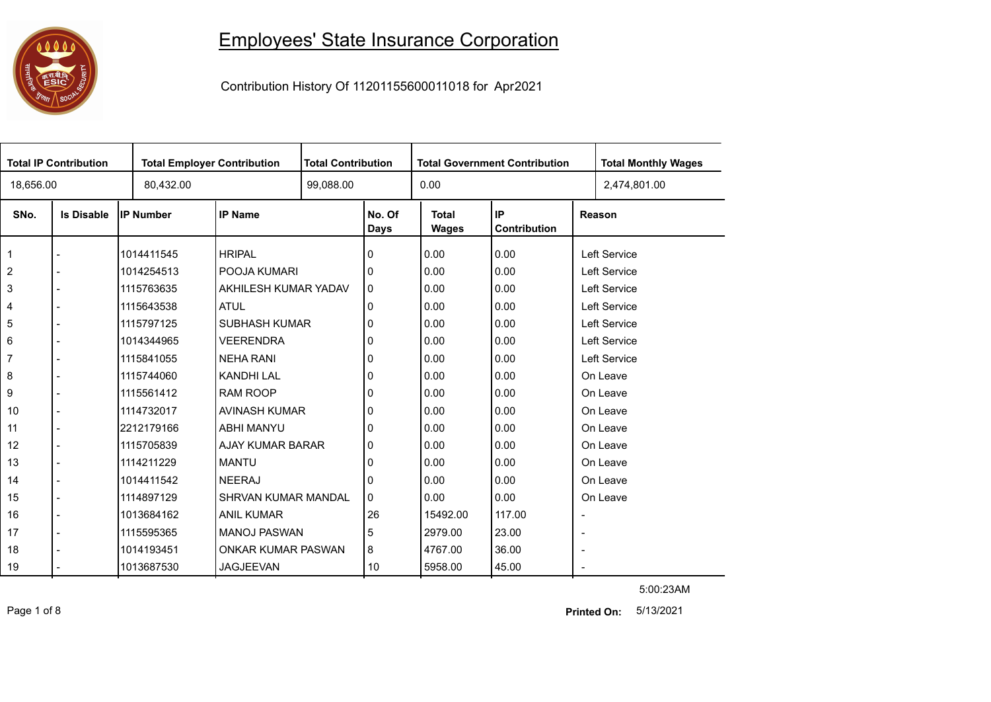

## Employees' State Insurance Corporation

Contribution History Of 11201155600011018 for Apr2021

| <b>Total IP Contribution</b> |                   |            | <b>Total Employer Contribution</b> |  | <b>Total Contribution</b> |                              | <b>Total Government Contribution</b> | <b>Total Monthly Wages</b> |                     |  |
|------------------------------|-------------------|------------|------------------------------------|--|---------------------------|------------------------------|--------------------------------------|----------------------------|---------------------|--|
| 18,656.00                    |                   | 80,432.00  |                                    |  |                           | 0.00                         |                                      |                            | 2,474,801.00        |  |
| SNo.                         | <b>Is Disable</b> | IP Number  | <b>IP Name</b>                     |  | No. Of<br><b>Days</b>     | <b>Total</b><br><b>Wages</b> | IP<br>Contribution                   |                            | Reason              |  |
| $\mathbf 1$                  |                   | 1014411545 | <b>HRIPAL</b>                      |  | 0                         | 0.00                         | 0.00                                 |                            | Left Service        |  |
| $\overline{2}$               |                   | 1014254513 | POOJA KUMARI                       |  | 0                         | 0.00                         | 0.00                                 |                            | <b>Left Service</b> |  |
| 3                            |                   | 1115763635 | AKHILESH KUMAR YADAV               |  | 0                         | 0.00                         | 0.00                                 |                            | Left Service        |  |
| 4                            |                   | 1115643538 | <b>ATUL</b>                        |  | 0                         | 0.00                         | 0.00                                 |                            | <b>Left Service</b> |  |
| 5                            |                   | 1115797125 | <b>SUBHASH KUMAR</b>               |  | 0                         | 0.00                         | 0.00                                 |                            | <b>Left Service</b> |  |
| 6                            |                   | 1014344965 | <b>VEERENDRA</b>                   |  | 0                         | 0.00                         | 0.00                                 |                            | Left Service        |  |
| $\overline{7}$               |                   | 1115841055 | <b>NEHA RANI</b>                   |  | 0                         | 0.00                         | 0.00                                 |                            | Left Service        |  |
| 8                            |                   | 1115744060 | <b>KANDHI LAL</b>                  |  | 0                         | 0.00                         | 0.00                                 |                            | On Leave            |  |
| 9                            |                   | 1115561412 | <b>RAM ROOP</b>                    |  | 0                         | 0.00                         | 0.00                                 |                            | On Leave            |  |
| 10                           |                   | 1114732017 | AVINASH KUMAR                      |  | 0                         | 0.00                         | 0.00                                 |                            | On Leave            |  |
| 11                           |                   | 2212179166 | <b>ABHI MANYU</b>                  |  | 0                         | 0.00                         | 0.00                                 |                            | On Leave            |  |
| 12                           |                   | 1115705839 | AJAY KUMAR BARAR                   |  | 0                         | 0.00                         | 0.00                                 |                            | On Leave            |  |
| 13                           |                   | 1114211229 | <b>MANTU</b>                       |  | 0                         | 0.00                         | 0.00                                 |                            | On Leave            |  |
| 14                           |                   | 1014411542 | <b>NEERAJ</b>                      |  | 0                         | 0.00                         | 0.00                                 |                            | On Leave            |  |
| 15                           |                   | 1114897129 | SHRVAN KUMAR MANDAL                |  | 0                         | 0.00                         | 0.00                                 |                            | On Leave            |  |
| 16                           |                   | 1013684162 | <b>ANIL KUMAR</b>                  |  | 26                        | 15492.00                     | 117.00                               |                            |                     |  |
| 17                           |                   | 1115595365 | <b>MANOJ PASWAN</b>                |  | 5                         | 2979.00                      | 23.00                                | $\overline{\phantom{a}}$   |                     |  |
| 18                           |                   | 1014193451 | ONKAR KUMAR PASWAN                 |  | 8                         | 4767.00                      | 36.00                                | $\overline{\phantom{a}}$   |                     |  |
| 19                           |                   | 1013687530 | <b>JAGJEEVAN</b>                   |  | 10                        | 5958.00                      | 45.00                                |                            |                     |  |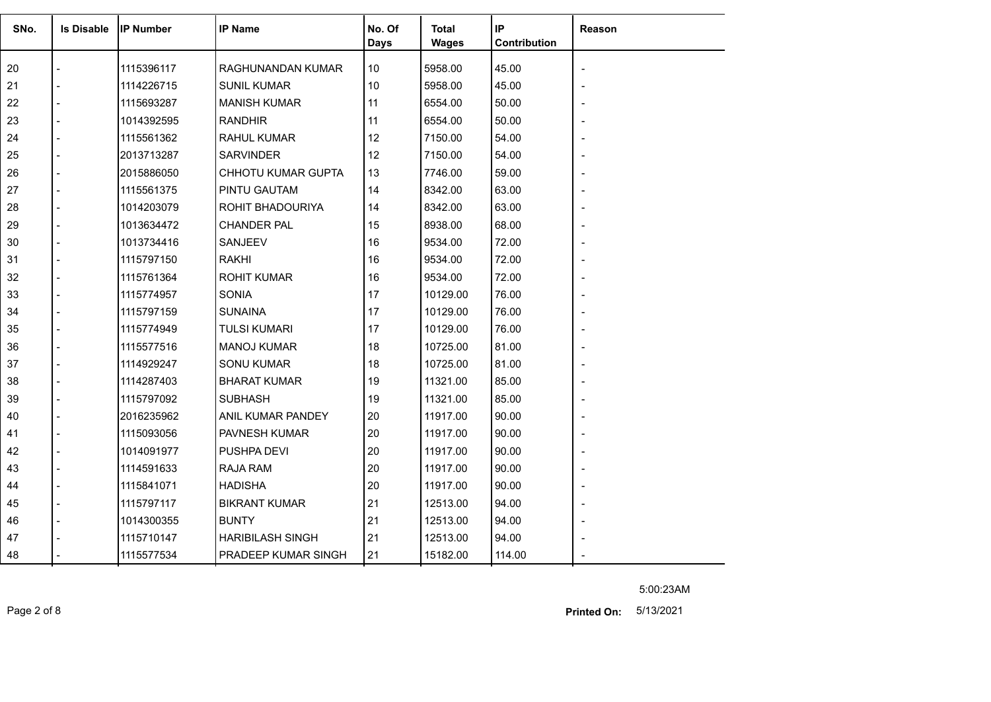| SNo. | <b>Is Disable</b> | <b>IP Number</b> | <b>IP Name</b>            | No. Of<br><b>Days</b> | <b>Total</b><br><b>Wages</b> | IP<br>Contribution | Reason |
|------|-------------------|------------------|---------------------------|-----------------------|------------------------------|--------------------|--------|
| 20   |                   | 1115396117       | RAGHUNANDAN KUMAR         | 10                    | 5958.00                      | 45.00              |        |
| 21   |                   | 1114226715       | <b>SUNIL KUMAR</b>        | 10                    | 5958.00                      | 45.00              |        |
| 22   |                   | 1115693287       | <b>MANISH KUMAR</b>       | 11                    | 6554.00                      | 50.00              |        |
| 23   |                   | 1014392595       | <b>RANDHIR</b>            | 11                    | 6554.00                      | 50.00              |        |
| 24   |                   | 1115561362       | <b>RAHUL KUMAR</b>        | 12                    | 7150.00                      | 54.00              |        |
| 25   |                   | 2013713287       | <b>SARVINDER</b>          | 12                    | 7150.00                      | 54.00              |        |
| 26   |                   | 2015886050       | <b>CHHOTU KUMAR GUPTA</b> | 13                    | 7746.00                      | 59.00              |        |
| 27   | $\overline{a}$    | 1115561375       | PINTU GAUTAM              | 14                    | 8342.00                      | 63.00              |        |
| 28   |                   | 1014203079       | ROHIT BHADOURIYA          | 14                    | 8342.00                      | 63.00              |        |
| 29   |                   | 1013634472       | <b>CHANDER PAL</b>        | 15                    | 8938.00                      | 68.00              |        |
| 30   |                   | 1013734416       | <b>SANJEEV</b>            | 16                    | 9534.00                      | 72.00              |        |
| 31   |                   | 1115797150       | <b>RAKHI</b>              | 16                    | 9534.00                      | 72.00              |        |
| 32   |                   | 1115761364       | <b>ROHIT KUMAR</b>        | 16                    | 9534.00                      | 72.00              |        |
| 33   |                   | 1115774957       | <b>SONIA</b>              | 17                    | 10129.00                     | 76.00              |        |
| 34   |                   | 1115797159       | <b>SUNAINA</b>            | 17                    | 10129.00                     | 76.00              |        |
| 35   |                   | 1115774949       | <b>TULSI KUMARI</b>       | 17                    | 10129.00                     | 76.00              |        |
| 36   |                   | 1115577516       | <b>MANOJ KUMAR</b>        | 18                    | 10725.00                     | 81.00              |        |
| 37   |                   | 1114929247       | <b>SONU KUMAR</b>         | 18                    | 10725.00                     | 81.00              |        |
| 38   |                   | 1114287403       | <b>BHARAT KUMAR</b>       | 19                    | 11321.00                     | 85.00              |        |
| 39   |                   | 1115797092       | <b>SUBHASH</b>            | 19                    | 11321.00                     | 85.00              |        |
| 40   |                   | 2016235962       | ANIL KUMAR PANDEY         | 20                    | 11917.00                     | 90.00              |        |
| 41   |                   | 1115093056       | PAVNESH KUMAR             | 20                    | 11917.00                     | 90.00              |        |
| 42   |                   | 1014091977       | PUSHPA DEVI               | 20                    | 11917.00                     | 90.00              |        |
| 43   |                   | 1114591633       | <b>RAJA RAM</b>           | 20                    | 11917.00                     | 90.00              |        |
| 44   |                   | 1115841071       | <b>HADISHA</b>            | 20                    | 11917.00                     | 90.00              |        |
| 45   |                   | 1115797117       | <b>BIKRANT KUMAR</b>      | 21                    | 12513.00                     | 94.00              |        |
| 46   |                   | 1014300355       | <b>BUNTY</b>              | 21                    | 12513.00                     | 94.00              |        |
| 47   |                   | 1115710147       | <b>HARIBILASH SINGH</b>   | 21                    | 12513.00                     | 94.00              |        |
| 48   |                   | 1115577534       | PRADEEP KUMAR SINGH       | 21                    | 15182.00                     | 114.00             |        |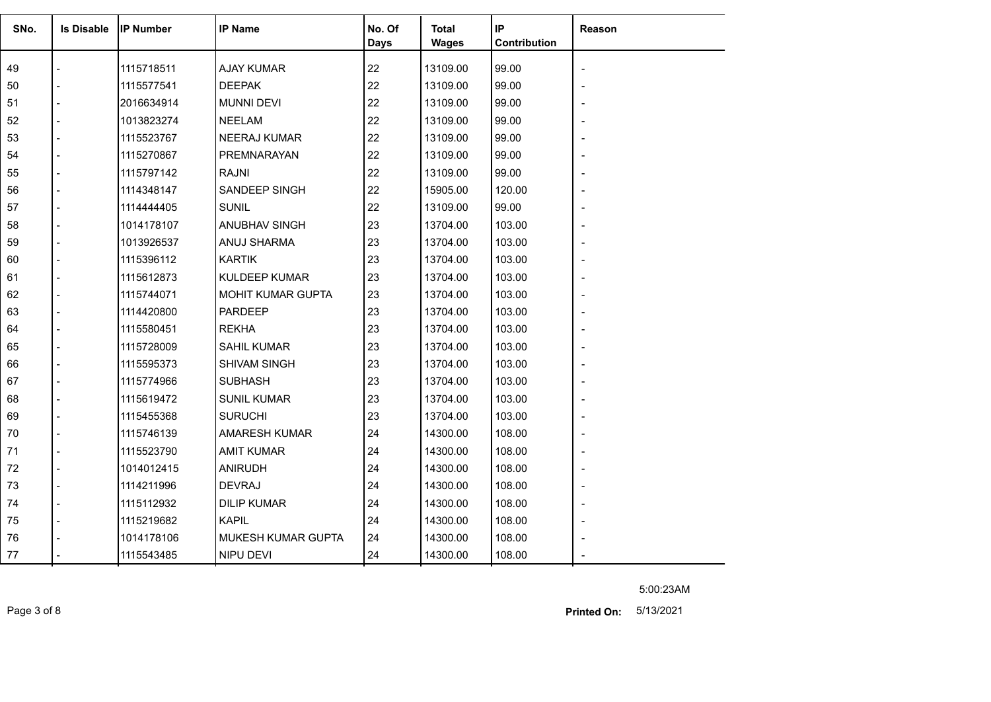| SNo. | <b>Is Disable</b> | <b>IIP Number</b> | <b>IP Name</b>       | No. Of<br><b>Days</b> | Total<br><b>Wages</b> | IP<br><b>Contribution</b> | Reason |
|------|-------------------|-------------------|----------------------|-----------------------|-----------------------|---------------------------|--------|
| 49   |                   | 1115718511        | <b>AJAY KUMAR</b>    | 22                    | 13109.00              | 99.00                     |        |
| 50   |                   | 1115577541        | <b>DEEPAK</b>        | 22                    | 13109.00              | 99.00                     |        |
| 51   |                   | 2016634914        | <b>MUNNI DEVI</b>    | 22                    | 13109.00              | 99.00                     |        |
| 52   |                   | 1013823274        | <b>NEELAM</b>        | 22                    | 13109.00              | 99.00                     |        |
| 53   |                   | 1115523767        | <b>NEERAJ KUMAR</b>  | 22                    | 13109.00              | 99.00                     |        |
| 54   |                   | 1115270867        | PREMNARAYAN          | 22                    | 13109.00              | 99.00                     |        |
| 55   |                   | 1115797142        | <b>RAJNI</b>         | 22                    | 13109.00              | 99.00                     |        |
| 56   |                   | 1114348147        | SANDEEP SINGH        | 22                    | 15905.00              | 120.00                    |        |
| 57   |                   | 1114444405        | <b>SUNIL</b>         | 22                    | 13109.00              | 99.00                     |        |
| 58   |                   | 1014178107        | ANUBHAV SINGH        | 23                    | 13704.00              | 103.00                    |        |
| 59   |                   | 1013926537        | ANUJ SHARMA          | 23                    | 13704.00              | 103.00                    |        |
| 60   |                   | 1115396112        | <b>KARTIK</b>        | 23                    | 13704.00              | 103.00                    |        |
| 61   |                   | 1115612873        | <b>KULDEEP KUMAR</b> | 23                    | 13704.00              | 103.00                    |        |
| 62   |                   | 1115744071        | MOHIT KUMAR GUPTA    | 23                    | 13704.00              | 103.00                    |        |
| 63   |                   | 1114420800        | <b>PARDEEP</b>       | 23                    | 13704.00              | 103.00                    |        |
| 64   |                   | 1115580451        | <b>REKHA</b>         | 23                    | 13704.00              | 103.00                    |        |
| 65   |                   | 1115728009        | <b>SAHIL KUMAR</b>   | 23                    | 13704.00              | 103.00                    |        |
| 66   |                   | 1115595373        | <b>SHIVAM SINGH</b>  | 23                    | 13704.00              | 103.00                    |        |
| 67   |                   | 1115774966        | <b>SUBHASH</b>       | 23                    | 13704.00              | 103.00                    |        |
| 68   |                   | 1115619472        | <b>SUNIL KUMAR</b>   | 23                    | 13704.00              | 103.00                    |        |
| 69   |                   | 1115455368        | <b>SURUCHI</b>       | 23                    | 13704.00              | 103.00                    |        |
| 70   |                   | 1115746139        | <b>AMARESH KUMAR</b> | 24                    | 14300.00              | 108.00                    |        |
| 71   |                   | 1115523790        | <b>AMIT KUMAR</b>    | 24                    | 14300.00              | 108.00                    |        |
| 72   |                   | 1014012415        | <b>ANIRUDH</b>       | 24                    | 14300.00              | 108.00                    |        |
| 73   |                   | 1114211996        | <b>DEVRAJ</b>        | 24                    | 14300.00              | 108.00                    |        |
| 74   |                   | 1115112932        | <b>DILIP KUMAR</b>   | 24                    | 14300.00              | 108.00                    |        |
| 75   |                   | 1115219682        | <b>KAPIL</b>         | 24                    | 14300.00              | 108.00                    |        |
| 76   |                   | 1014178106        | MUKESH KUMAR GUPTA   | 24                    | 14300.00              | 108.00                    |        |
| 77   |                   | 1115543485        | <b>NIPU DEVI</b>     | 24                    | 14300.00              | 108.00                    |        |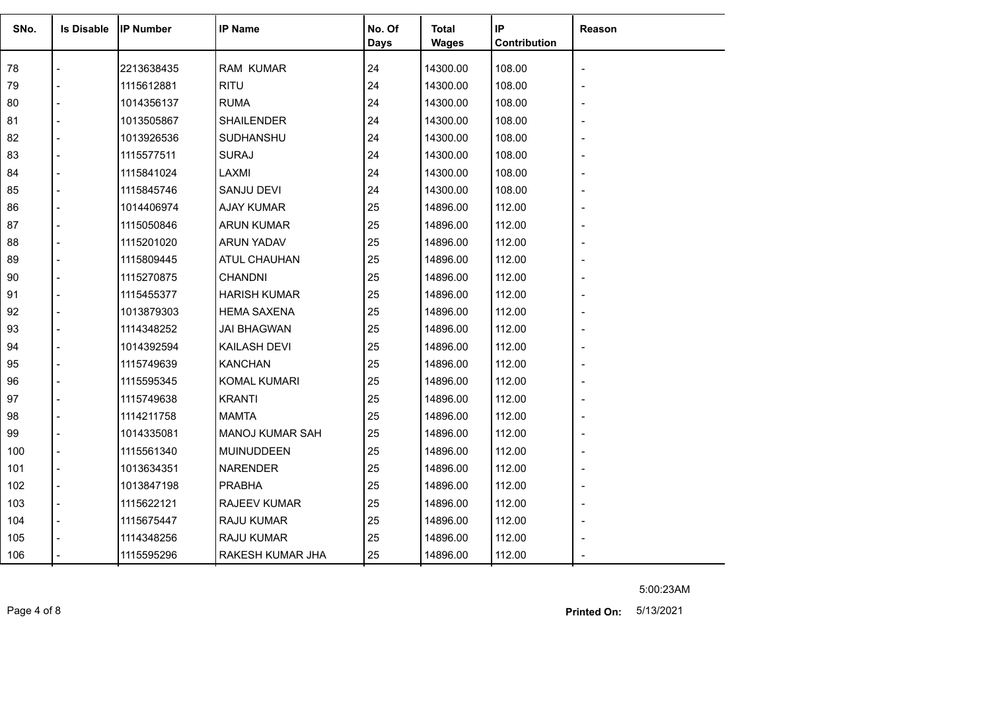| SNo. | <b>Is Disable</b> | <b>IP Number</b> | <b>IP Name</b>      | No. Of<br><b>Days</b> | <b>Total</b><br><b>Wages</b> | IP<br>Contribution | Reason |
|------|-------------------|------------------|---------------------|-----------------------|------------------------------|--------------------|--------|
| 78   |                   | 2213638435       | <b>RAM KUMAR</b>    | 24                    | 14300.00                     | 108.00             |        |
| 79   |                   | 1115612881       | <b>RITU</b>         | 24                    | 14300.00                     | 108.00             |        |
| 80   |                   | 1014356137       | <b>RUMA</b>         | 24                    | 14300.00                     | 108.00             |        |
| 81   |                   | 1013505867       | <b>SHAILENDER</b>   | 24                    | 14300.00                     | 108.00             |        |
| 82   |                   | 1013926536       | SUDHANSHU           | 24                    | 14300.00                     | 108.00             |        |
| 83   |                   | 1115577511       | <b>SURAJ</b>        | 24                    | 14300.00                     | 108.00             |        |
| 84   |                   | 1115841024       | LAXMI               | 24                    | 14300.00                     | 108.00             |        |
| 85   |                   | 1115845746       | SANJU DEVI          | 24                    | 14300.00                     | 108.00             |        |
| 86   |                   | 1014406974       | <b>AJAY KUMAR</b>   | 25                    | 14896.00                     | 112.00             |        |
| 87   |                   | 1115050846       | ARUN KUMAR          | 25                    | 14896.00                     | 112.00             |        |
| 88   |                   | 1115201020       | ARUN YADAV          | 25                    | 14896.00                     | 112.00             |        |
| 89   |                   | 1115809445       | <b>ATUL CHAUHAN</b> | 25                    | 14896.00                     | 112.00             |        |
| 90   |                   | 1115270875       | <b>CHANDNI</b>      | 25                    | 14896.00                     | 112.00             |        |
| 91   |                   | 1115455377       | <b>HARISH KUMAR</b> | 25                    | 14896.00                     | 112.00             |        |
| 92   |                   | 1013879303       | <b>HEMA SAXENA</b>  | 25                    | 14896.00                     | 112.00             |        |
| 93   |                   | 1114348252       | <b>JAI BHAGWAN</b>  | 25                    | 14896.00                     | 112.00             |        |
| 94   |                   | 1014392594       | <b>KAILASH DEVI</b> | 25                    | 14896.00                     | 112.00             |        |
| 95   |                   | 1115749639       | <b>KANCHAN</b>      | 25                    | 14896.00                     | 112.00             |        |
| 96   |                   | 1115595345       | <b>KOMAL KUMARI</b> | 25                    | 14896.00                     | 112.00             |        |
| 97   |                   | 1115749638       | <b>KRANTI</b>       | 25                    | 14896.00                     | 112.00             |        |
| 98   |                   | 1114211758       | <b>MAMTA</b>        | 25                    | 14896.00                     | 112.00             |        |
| 99   |                   | 1014335081       | MANOJ KUMAR SAH     | 25                    | 14896.00                     | 112.00             |        |
| 100  |                   | 1115561340       | <b>MUINUDDEEN</b>   | 25                    | 14896.00                     | 112.00             |        |
| 101  |                   | 1013634351       | <b>NARENDER</b>     | 25                    | 14896.00                     | 112.00             |        |
| 102  |                   | 1013847198       | <b>PRABHA</b>       | 25                    | 14896.00                     | 112.00             |        |
| 103  |                   | 1115622121       | <b>RAJEEV KUMAR</b> | 25                    | 14896.00                     | 112.00             |        |
| 104  |                   | 1115675447       | <b>RAJU KUMAR</b>   | 25                    | 14896.00                     | 112.00             |        |
| 105  |                   | 1114348256       | RAJU KUMAR          | 25                    | 14896.00                     | 112.00             |        |
| 106  |                   | 1115595296       | RAKESH KUMAR JHA    | 25                    | 14896.00                     | 112.00             |        |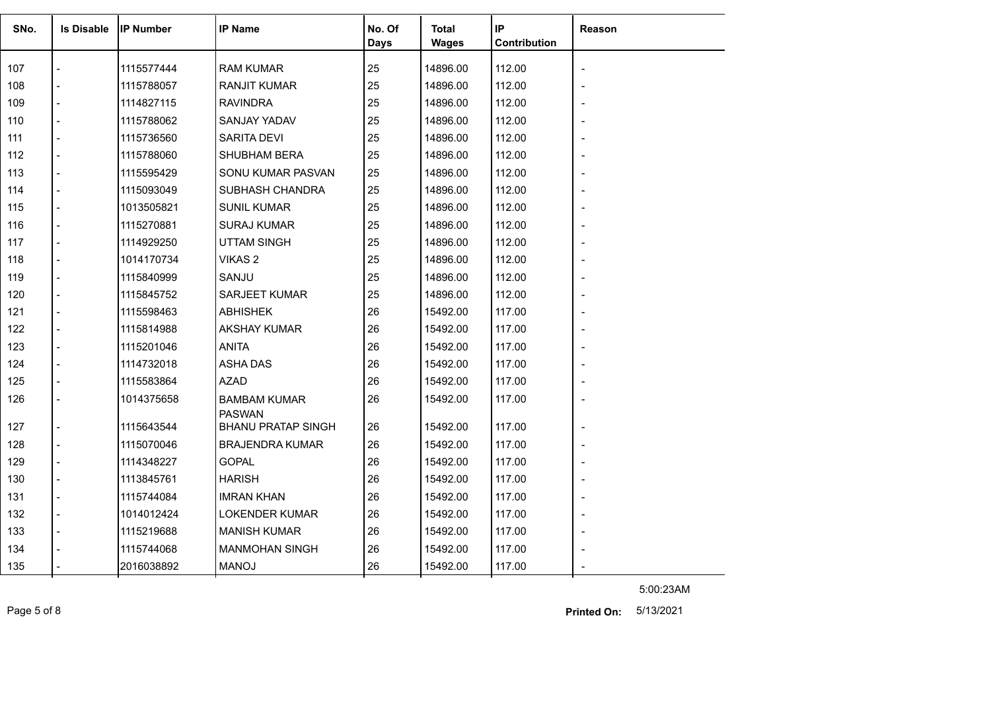| SNo. | <b>Is Disable</b> | <b>IP Number</b> | <b>IP Name</b>                       | No. Of<br>Days | Total<br><b>Wages</b> | IP<br>Contribution | <b>Reason</b>            |
|------|-------------------|------------------|--------------------------------------|----------------|-----------------------|--------------------|--------------------------|
| 107  |                   | 1115577444       | <b>RAM KUMAR</b>                     | 25             | 14896.00              | 112.00             | $\overline{\phantom{a}}$ |
| 108  |                   | 1115788057       | <b>RANJIT KUMAR</b>                  | 25             | 14896.00              | 112.00             |                          |
| 109  |                   | 1114827115       | <b>RAVINDRA</b>                      | 25             | 14896.00              | 112.00             |                          |
| 110  |                   | 1115788062       | SANJAY YADAV                         | 25             | 14896.00              | 112.00             |                          |
| 111  |                   | 1115736560       | <b>SARITA DEVI</b>                   | 25             | 14896.00              | 112.00             |                          |
| 112  |                   | 1115788060       | <b>SHUBHAM BERA</b>                  | 25             | 14896.00              | 112.00             |                          |
| 113  |                   | 1115595429       | SONU KUMAR PASVAN                    | 25             | 14896.00              | 112.00             |                          |
| 114  |                   | 1115093049       | SUBHASH CHANDRA                      | 25             | 14896.00              | 112.00             |                          |
| 115  |                   | 1013505821       | <b>SUNIL KUMAR</b>                   | 25             | 14896.00              | 112.00             |                          |
| 116  |                   | 1115270881       | <b>SURAJ KUMAR</b>                   | 25             | 14896.00              | 112.00             |                          |
| 117  |                   | 1114929250       | <b>UTTAM SINGH</b>                   | 25             | 14896.00              | 112.00             |                          |
| 118  |                   | 1014170734       | VIKAS <sub>2</sub>                   | 25             | 14896.00              | 112.00             |                          |
| 119  |                   | 1115840999       | SANJU                                | 25             | 14896.00              | 112.00             |                          |
| 120  |                   | 1115845752       | <b>SARJEET KUMAR</b>                 | 25             | 14896.00              | 112.00             |                          |
| 121  |                   | 1115598463       | <b>ABHISHEK</b>                      | 26             | 15492.00              | 117.00             |                          |
| 122  |                   | 1115814988       | AKSHAY KUMAR                         | 26             | 15492.00              | 117.00             |                          |
| 123  |                   | 1115201046       | <b>ANITA</b>                         | 26             | 15492.00              | 117.00             |                          |
| 124  |                   | 1114732018       | ASHA DAS                             | 26             | 15492.00              | 117.00             |                          |
| 125  |                   | 1115583864       | <b>AZAD</b>                          | 26             | 15492.00              | 117.00             |                          |
| 126  |                   | 1014375658       | <b>BAMBAM KUMAR</b><br><b>PASWAN</b> | 26             | 15492.00              | 117.00             |                          |
| 127  |                   | 1115643544       | <b>BHANU PRATAP SINGH</b>            | 26             | 15492.00              | 117.00             |                          |
| 128  |                   | 1115070046       | <b>BRAJENDRA KUMAR</b>               | 26             | 15492.00              | 117.00             |                          |
| 129  |                   | 1114348227       | <b>GOPAL</b>                         | 26             | 15492.00              | 117.00             |                          |
| 130  |                   | 1113845761       | <b>HARISH</b>                        | 26             | 15492.00              | 117.00             |                          |
| 131  |                   | 1115744084       | <b>IMRAN KHAN</b>                    | 26             | 15492.00              | 117.00             |                          |
| 132  |                   | 1014012424       | <b>LOKENDER KUMAR</b>                | 26             | 15492.00              | 117.00             |                          |
| 133  |                   | 1115219688       | <b>MANISH KUMAR</b>                  | 26             | 15492.00              | 117.00             |                          |
| 134  |                   | 1115744068       | <b>MANMOHAN SINGH</b>                | 26             | 15492.00              | 117.00             |                          |
| 135  |                   | 2016038892       | <b>MANOJ</b>                         | 26             | 15492.00              | 117.00             |                          |

5:00:23AM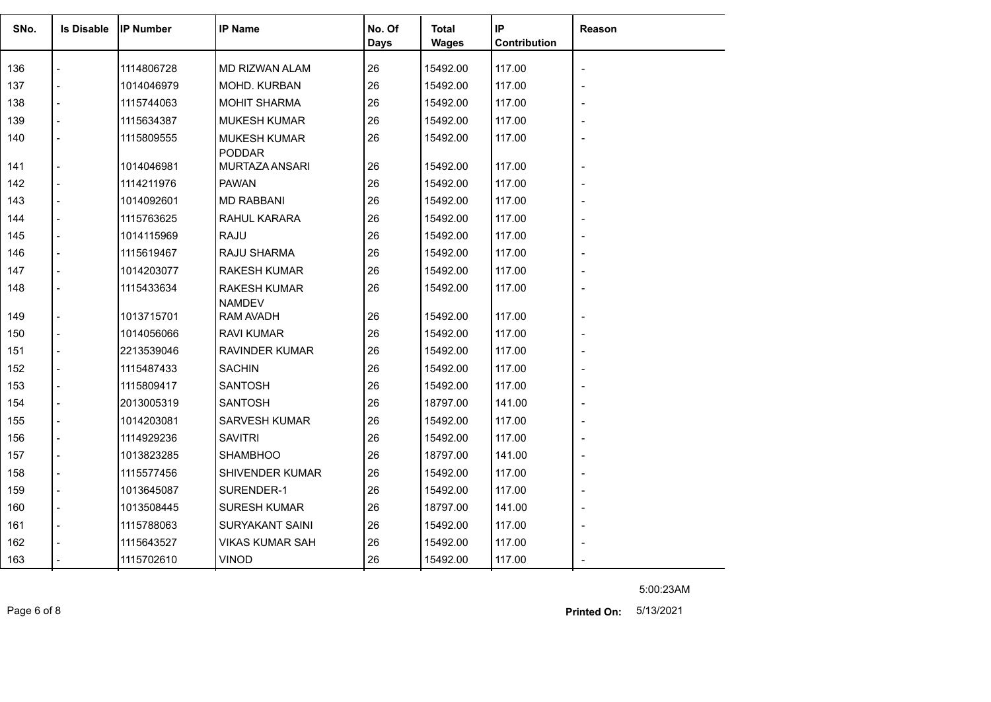| SNo. | <b>Is Disable</b> | <b>IP Number</b> | <b>IP Name</b>                       | No. Of<br>Days | <b>Total</b><br><b>Wages</b> | IP<br>Contribution | Reason |
|------|-------------------|------------------|--------------------------------------|----------------|------------------------------|--------------------|--------|
| 136  |                   | 1114806728       | MD RIZWAN ALAM                       | 26             | 15492.00                     | 117.00             |        |
| 137  |                   | 1014046979       | MOHD. KURBAN                         | 26             | 15492.00                     | 117.00             |        |
| 138  |                   | 1115744063       | <b>MOHIT SHARMA</b>                  | 26             | 15492.00                     | 117.00             |        |
| 139  |                   | 1115634387       | <b>MUKESH KUMAR</b>                  | 26             | 15492.00                     | 117.00             |        |
| 140  |                   | 1115809555       | <b>MUKESH KUMAR</b><br><b>PODDAR</b> | 26             | 15492.00                     | 117.00             |        |
| 141  |                   | 1014046981       | MURTAZA ANSARI                       | 26             | 15492.00                     | 117.00             |        |
| 142  |                   | 1114211976       | <b>PAWAN</b>                         | 26             | 15492.00                     | 117.00             |        |
| 143  |                   | 1014092601       | <b>MD RABBANI</b>                    | 26             | 15492.00                     | 117.00             |        |
| 144  |                   | 1115763625       | RAHUL KARARA                         | 26             | 15492.00                     | 117.00             |        |
| 145  |                   | 1014115969       | <b>RAJU</b>                          | 26             | 15492.00                     | 117.00             |        |
| 146  |                   | 1115619467       | RAJU SHARMA                          | 26             | 15492.00                     | 117.00             |        |
| 147  |                   | 1014203077       | <b>RAKESH KUMAR</b>                  | 26             | 15492.00                     | 117.00             |        |
| 148  |                   | 1115433634       | <b>RAKESH KUMAR</b><br><b>NAMDEV</b> | 26             | 15492.00                     | 117.00             |        |
| 149  |                   | 1013715701       | <b>RAM AVADH</b>                     | 26             | 15492.00                     | 117.00             |        |
| 150  |                   | 1014056066       | RAVI KUMAR                           | 26             | 15492.00                     | 117.00             |        |
| 151  |                   | 2213539046       | <b>RAVINDER KUMAR</b>                | 26             | 15492.00                     | 117.00             |        |
| 152  |                   | 1115487433       | <b>SACHIN</b>                        | 26             | 15492.00                     | 117.00             |        |
| 153  |                   | 1115809417       | <b>SANTOSH</b>                       | 26             | 15492.00                     | 117.00             |        |
| 154  |                   | 2013005319       | <b>SANTOSH</b>                       | 26             | 18797.00                     | 141.00             |        |
| 155  |                   | 1014203081       | <b>SARVESH KUMAR</b>                 | 26             | 15492.00                     | 117.00             |        |
| 156  |                   | 1114929236       | <b>SAVITRI</b>                       | 26             | 15492.00                     | 117.00             |        |
| 157  |                   | 1013823285       | <b>SHAMBHOO</b>                      | 26             | 18797.00                     | 141.00             |        |
| 158  |                   | 1115577456       | SHIVENDER KUMAR                      | 26             | 15492.00                     | 117.00             |        |
| 159  |                   | 1013645087       | SURENDER-1                           | 26             | 15492.00                     | 117.00             |        |
| 160  |                   | 1013508445       | <b>SURESH KUMAR</b>                  | 26             | 18797.00                     | 141.00             |        |
| 161  |                   | 1115788063       | <b>SURYAKANT SAINI</b>               | 26             | 15492.00                     | 117.00             |        |
| 162  |                   | 1115643527       | <b>VIKAS KUMAR SAH</b>               | 26             | 15492.00                     | 117.00             |        |
| 163  |                   | 1115702610       | <b>VINOD</b>                         | 26             | 15492.00                     | 117.00             |        |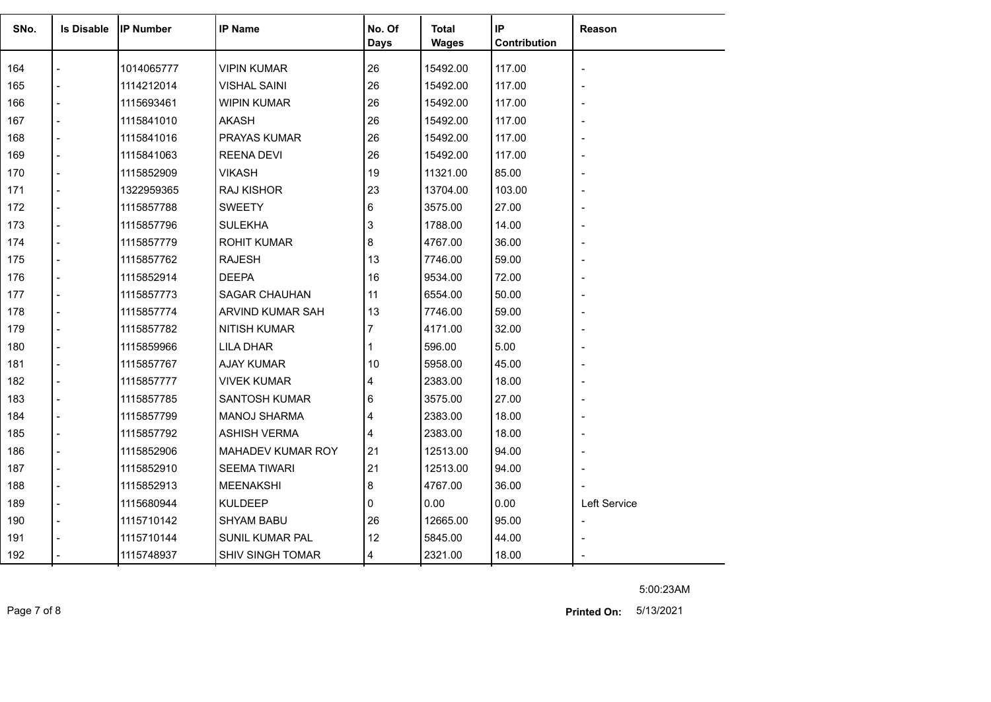| SNo. | <b>Is Disable</b> | <b>IIP Number</b> | <b>IP Name</b>          | No. Of<br><b>Days</b> | <b>Total</b><br><b>Wages</b> | IP<br>Contribution | Reason                   |
|------|-------------------|-------------------|-------------------------|-----------------------|------------------------------|--------------------|--------------------------|
| 164  |                   | 1014065777        | <b>VIPIN KUMAR</b>      | 26                    | 15492.00                     | 117.00             | $\blacksquare$           |
| 165  |                   | 1114212014        | <b>VISHAL SAINI</b>     | 26                    | 15492.00                     | 117.00             |                          |
| 166  |                   | 1115693461        | WIPIN KUMAR             | 26                    | 15492.00                     | 117.00             |                          |
| 167  |                   | 1115841010        | <b>AKASH</b>            | 26                    | 15492.00                     | 117.00             |                          |
| 168  |                   | 1115841016        | <b>PRAYAS KUMAR</b>     | 26                    | 15492.00                     | 117.00             |                          |
| 169  |                   | 1115841063        | <b>REENA DEVI</b>       | 26                    | 15492.00                     | 117.00             |                          |
| 170  |                   | 1115852909        | <b>VIKASH</b>           | 19                    | 11321.00                     | 85.00              |                          |
| 171  |                   | 1322959365        | <b>RAJ KISHOR</b>       | 23                    | 13704.00                     | 103.00             | $\overline{\phantom{a}}$ |
| 172  | $\overline{a}$    | 1115857788        | <b>SWEETY</b>           | 6                     | 3575.00                      | 27.00              |                          |
| 173  |                   | 1115857796        | <b>SULEKHA</b>          | 3                     | 1788.00                      | 14.00              |                          |
| 174  |                   | 1115857779        | <b>ROHIT KUMAR</b>      | 8                     | 4767.00                      | 36.00              | $\overline{\phantom{a}}$ |
| 175  |                   | 1115857762        | <b>RAJESH</b>           | 13                    | 7746.00                      | 59.00              |                          |
| 176  |                   | 1115852914        | <b>DEEPA</b>            | 16                    | 9534.00                      | 72.00              |                          |
| 177  |                   | 1115857773        | <b>SAGAR CHAUHAN</b>    | 11                    | 6554.00                      | 50.00              | $\blacksquare$           |
| 178  |                   | 1115857774        | ARVIND KUMAR SAH        | 13                    | 7746.00                      | 59.00              |                          |
| 179  | $\overline{a}$    | 1115857782        | <b>NITISH KUMAR</b>     | 7                     | 4171.00                      | 32.00              |                          |
| 180  |                   | 1115859966        | <b>LILA DHAR</b>        |                       | 596.00                       | 5.00               |                          |
| 181  |                   | 1115857767        | <b>AJAY KUMAR</b>       | 10                    | 5958.00                      | 45.00              |                          |
| 182  |                   | 1115857777        | <b>VIVEK KUMAR</b>      | 4                     | 2383.00                      | 18.00              |                          |
| 183  |                   | 1115857785        | <b>SANTOSH KUMAR</b>    | 6                     | 3575.00                      | 27.00              | $\overline{\phantom{a}}$ |
| 184  |                   | 1115857799        | <b>MANOJ SHARMA</b>     | 4                     | 2383.00                      | 18.00              |                          |
| 185  |                   | 1115857792        | <b>ASHISH VERMA</b>     | 4                     | 2383.00                      | 18.00              |                          |
| 186  |                   | 1115852906        | MAHADEV KUMAR ROY       | 21                    | 12513.00                     | 94.00              |                          |
| 187  | $\overline{a}$    | 1115852910        | <b>SEEMA TIWARI</b>     | 21                    | 12513.00                     | 94.00              |                          |
| 188  |                   | 1115852913        | <b>MEENAKSHI</b>        | 8                     | 4767.00                      | 36.00              |                          |
| 189  |                   | 1115680944        | <b>KULDEEP</b>          | 0                     | 0.00                         | 0.00               | Left Service             |
| 190  | $\overline{a}$    | 1115710142        | SHYAM BABU              | 26                    | 12665.00                     | 95.00              | $\blacksquare$           |
| 191  |                   | 1115710144        | <b>SUNIL KUMAR PAL</b>  | 12                    | 5845.00                      | 44.00              |                          |
| 192  |                   | 1115748937        | <b>SHIV SINGH TOMAR</b> | 4                     | 2321.00                      | 18.00              |                          |